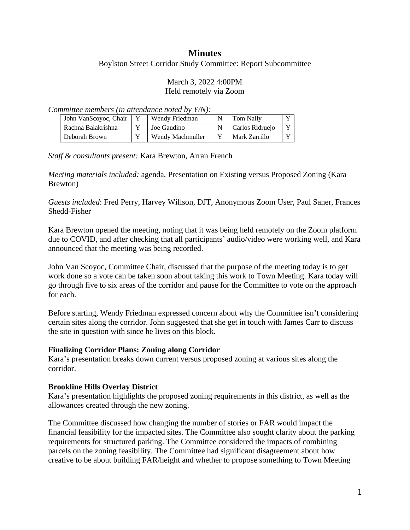# **Minutes**

Boylston Street Corridor Study Committee: Report Subcommittee

### March 3, 2022 4:00PM Held remotely via Zoom

*Committee members (in attendance noted by Y/N):*

| John VanScovoc, Chair | Wendy Friedman   | Tom Nally       |  |
|-----------------------|------------------|-----------------|--|
| Rachna Balakrishna    | Joe Gaudino      | Carlos Ridruejo |  |
| Deborah Brown         | Wendy Machmuller | Mark Zarrillo   |  |

*Staff & consultants present:* Kara Brewton, Arran French

*Meeting materials included:* agenda, Presentation on Existing versus Proposed Zoning (Kara Brewton)

*Guests included*: Fred Perry, Harvey Willson, DJT, Anonymous Zoom User, Paul Saner, Frances Shedd-Fisher

Kara Brewton opened the meeting, noting that it was being held remotely on the Zoom platform due to COVID, and after checking that all participants' audio/video were working well, and Kara announced that the meeting was being recorded.

John Van Scoyoc, Committee Chair, discussed that the purpose of the meeting today is to get work done so a vote can be taken soon about taking this work to Town Meeting. Kara today will go through five to six areas of the corridor and pause for the Committee to vote on the approach for each.

Before starting, Wendy Friedman expressed concern about why the Committee isn't considering certain sites along the corridor. John suggested that she get in touch with James Carr to discuss the site in question with since he lives on this block.

## **Finalizing Corridor Plans: Zoning along Corridor**

Kara's presentation breaks down current versus proposed zoning at various sites along the corridor.

## **Brookline Hills Overlay District**

Kara's presentation highlights the proposed zoning requirements in this district, as well as the allowances created through the new zoning.

The Committee discussed how changing the number of stories or FAR would impact the financial feasibility for the impacted sites. The Committee also sought clarity about the parking requirements for structured parking. The Committee considered the impacts of combining parcels on the zoning feasibility. The Committee had significant disagreement about how creative to be about building FAR/height and whether to propose something to Town Meeting